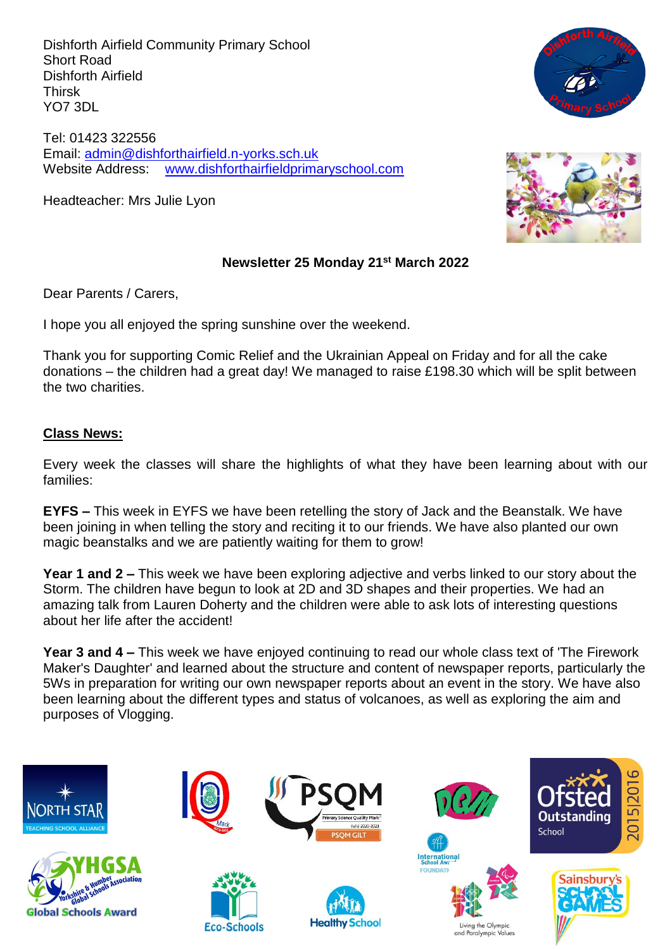Dishforth Airfield Community Primary School Short Road Dishforth Airfield Thirsk YO7 3DL

Tel: 01423 322556 Email: [admin@dishforthairfield.n-yorks.sch.uk](mailto:admin@dishforthairfield.n-yorks.sch.uk) Website Address: [www.dishforthairfieldprimaryschool.com](http://www.dishforthairfieldprimaryschool.com/)

Headteacher: Mrs Julie Lyon





#### **Newsletter 25 Monday 21st March 2022**

Dear Parents / Carers,

I hope you all enjoyed the spring sunshine over the weekend.

Thank you for supporting Comic Relief and the Ukrainian Appeal on Friday and for all the cake donations – the children had a great day! We managed to raise £198.30 which will be split between the two charities.

#### **Class News:**

Every week the classes will share the highlights of what they have been learning about with our families:

**EYFS –** This week in EYFS we have been retelling the story of Jack and the Beanstalk. We have been joining in when telling the story and reciting it to our friends. We have also planted our own magic beanstalks and we are patiently waiting for them to grow!

**Year 1 and 2 –** This week we have been exploring adjective and verbs linked to our story about the Storm. The children have begun to look at 2D and 3D shapes and their properties. We had an amazing talk from Lauren Doherty and the children were able to ask lots of interesting questions about her life after the accident!

**Year 3 and 4 –** This week we have enjoyed continuing to read our whole class text of 'The Firework Maker's Daughter' and learned about the structure and content of newspaper reports, particularly the 5Ws in preparation for writing our own newspaper reports about an event in the story. We have also been learning about the different types and status of volcanoes, as well as exploring the aim and purposes of Vlogging.

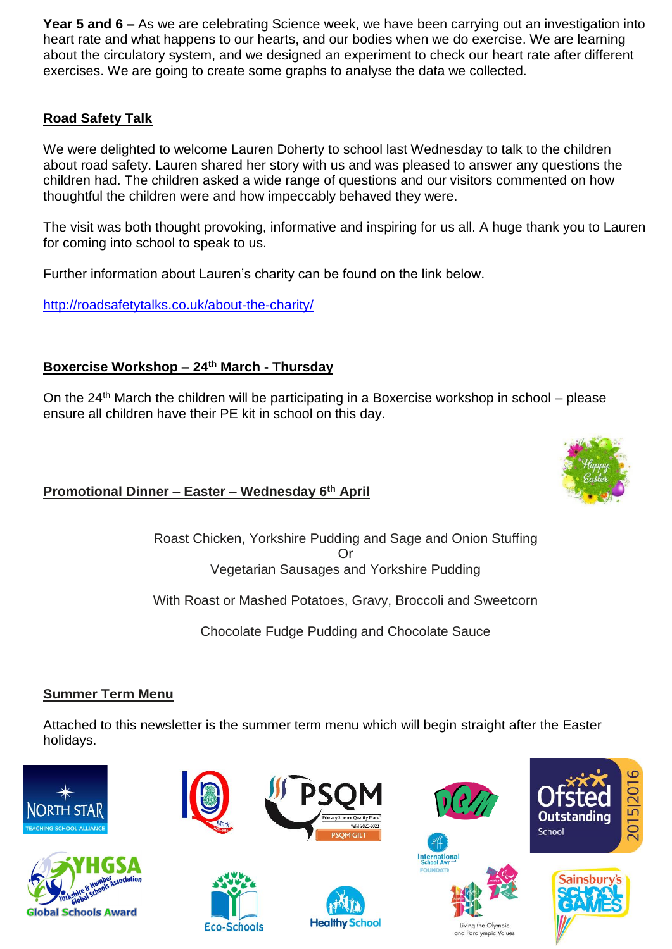**Year 5 and 6 –** As we are celebrating Science week, we have been carrying out an investigation into heart rate and what happens to our hearts, and our bodies when we do exercise. We are learning about the circulatory system, and we designed an experiment to check our heart rate after different exercises. We are going to create some graphs to analyse the data we collected.

# **Road Safety Talk**

We were delighted to welcome Lauren Doherty to school last Wednesday to talk to the children about road safety. Lauren shared her story with us and was pleased to answer any questions the children had. The children asked a wide range of questions and our visitors commented on how thoughtful the children were and how impeccably behaved they were.

The visit was both thought provoking, informative and inspiring for us all. A huge thank you to Lauren for coming into school to speak to us.

Further information about Lauren's charity can be found on the link below.

<http://roadsafetytalks.co.uk/about-the-charity/>

# **Boxercise Workshop – 24th March - Thursday**

On the  $24<sup>th</sup>$  March the children will be participating in a Boxercise workshop in school – please ensure all children have their PE kit in school on this day.

# **Promotional Dinner – Easter – Wednesday 6 th April**

Roast Chicken, Yorkshire Pudding and Sage and Onion Stuffing Or Vegetarian Sausages and Yorkshire Pudding

With Roast or Mashed Potatoes, Gravy, Broccoli and Sweetcorn

Chocolate Fudge Pudding and Chocolate Sauce

## **Summer Term Menu**

Attached to this newsletter is the summer term menu which will begin straight after the Easter holidays.



**Global Schools Award** 











and Paralympic





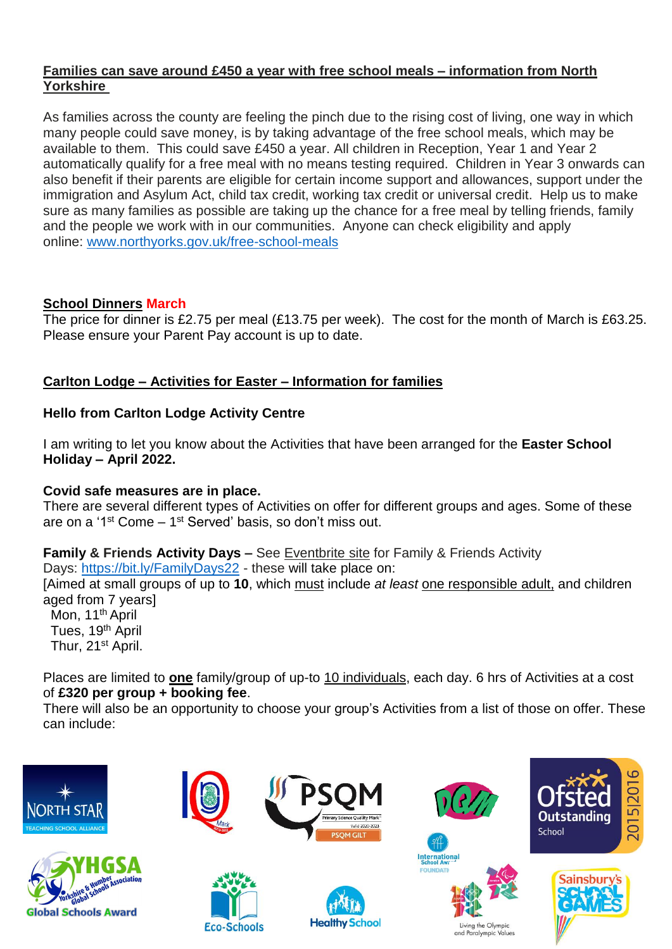### **Families can save around £450 a year with free school meals – information from North Yorkshire**

As families across the county are feeling the pinch due to the rising cost of living, one way in which many people could save money, is by taking advantage of the free school meals, which may be available to them. This could save £450 a year. All children in Reception, Year 1 and Year 2 automatically qualify for a free meal with no means testing required. Children in Year 3 onwards can also benefit if their parents are eligible for certain income support and allowances, support under the immigration and Asylum Act, child tax credit, working tax credit or universal credit. Help us to make sure as many families as possible are taking up the chance for a free meal by telling friends, family and the people we work with in our communities. Anyone can check eligibility and apply online: [www.northyorks.gov.uk/free-school-meals](http://www.northyorks.gov.uk/free-school-meals)

## **School Dinners March**

The price for dinner is £2.75 per meal (£13.75 per week). The cost for the month of March is £63.25. Please ensure your Parent Pay account is up to date.

## **Carlton Lodge – Activities for Easter – Information for families**

## **Hello from Carlton Lodge Activity Centre**

I am writing to let you know about the Activities that have been arranged for the **Easter School Holiday – April 2022.**

#### **Covid safe measures are in place.**

There are several different types of Activities on offer for different groups and ages. Some of these are on a '1<sup>st</sup> Come – 1<sup>st</sup> Served' basis, so don't miss out.

**Family & Friends Activity Days –** See Eventbrite site for Family & Friends Activity Days: <https://bit.ly/FamilyDays22> - these will take place on:

[Aimed at small groups of up to **10**, which must include *at least* one responsible adult, and children aged from 7 years]

Mon, 11<sup>th</sup> April Tues, 19<sup>th</sup> April Thur, 21<sup>st</sup> April.

Places are limited to **one** family/group of up-to 10 individuals, each day. 6 hrs of Activities at a cost of **£320 per group + booking fee**.

There will also be an opportunity to choose your group's Activities from a list of those on offer. These can include:

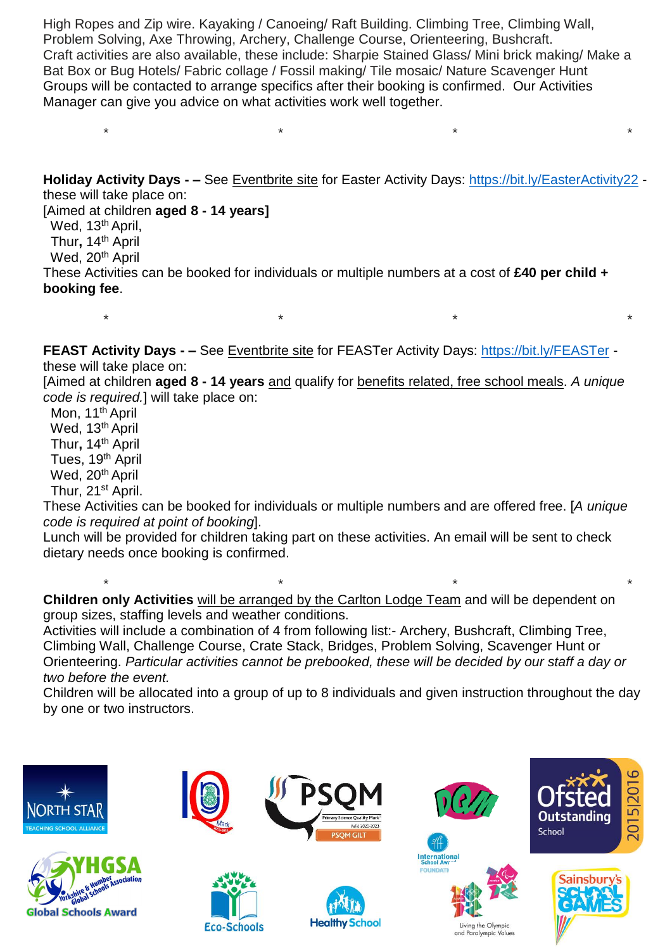High Ropes and Zip wire. Kayaking / Canoeing/ Raft Building. Climbing Tree, Climbing Wall, Problem Solving, Axe Throwing, Archery, Challenge Course, Orienteering, Bushcraft. Craft activities are also available, these include: Sharpie Stained Glass/ Mini brick making/ Make a Bat Box or Bug Hotels/ Fabric collage / Fossil making/ Tile mosaic/ Nature Scavenger Hunt Groups will be contacted to arrange specifics after their booking is confirmed. Our Activities Manager can give you advice on what activities work well together.

\* \* \* \*

**Holiday Activity Days - –** See Eventbrite site for Easter Activity Days: <https://bit.ly/EasterActivity22> these will take place on:

[Aimed at children **aged 8 - 14 years]**

Wed, 13<sup>th</sup> April,

Thur**,** 14th April

Wed, 20<sup>th</sup> April

These Activities can be booked for individuals or multiple numbers at a cost of **£40 per child + booking fee**.

**FEAST Activity Days - –** See Eventbrite site for FEASTer Activity Days: <https://bit.ly/FEASTer> these will take place on:

\* \* \* \*

[Aimed at children **aged 8 - 14 years** and qualify for benefits related, free school meals. *A unique code is required.*] will take place on:

Mon, 11<sup>th</sup> April Wed, 13<sup>th</sup> April Thur**,** 14th April Tues, 19<sup>th</sup> April Wed, 20<sup>th</sup> April Thur, 21st April.

These Activities can be booked for individuals or multiple numbers and are offered free. [*A unique code is required at point of booking*].

Lunch will be provided for children taking part on these activities. An email will be sent to check dietary needs once booking is confirmed.

 \* \* \* \* **Children only Activities** will be arranged by the Carlton Lodge Team and will be dependent on group sizes, staffing levels and weather conditions.

Activities will include a combination of 4 from following list:- Archery, Bushcraft, Climbing Tree, Climbing Wall, Challenge Course, Crate Stack, Bridges, Problem Solving, Scavenger Hunt or Orienteering. *Particular activities cannot be prebooked, these will be decided by our staff a day or two before the event.*

Children will be allocated into a group of up to 8 individuals and given instruction throughout the day by one or two instructors.

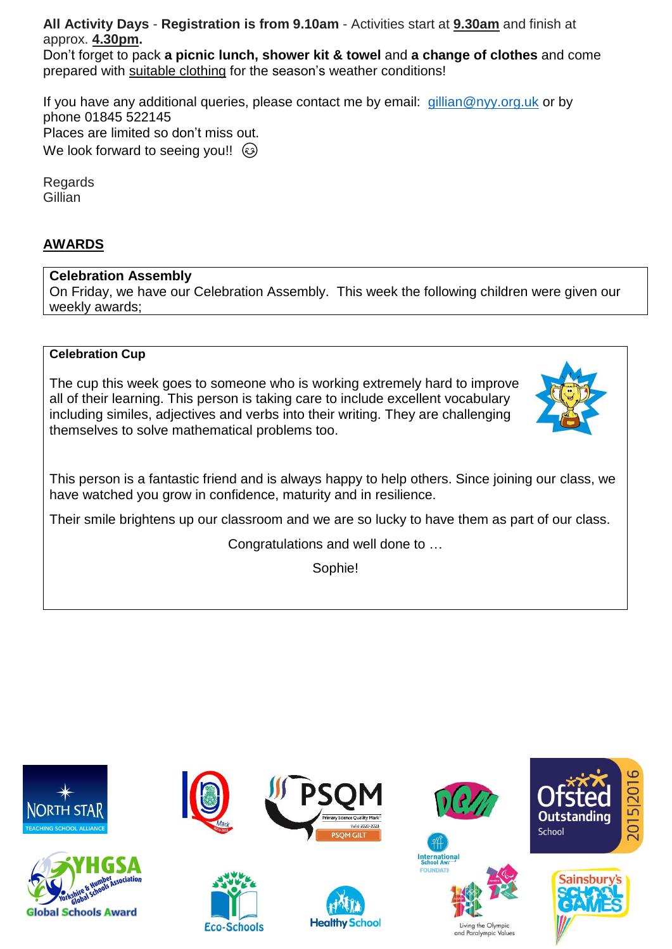**All Activity Days** - **Registration is from 9.10am** - Activities start at **9.30am** and finish at approx. **4.30pm.**

Don't forget to pack **a picnic lunch, shower kit & towel** and **a change of clothes** and come prepared with suitable clothing for the season's weather conditions!

If you have any additional queries, please contact me by email: [gillian@nyy.org.uk](mailto:gillian@nyy.org.uk) or by phone 01845 522145 Places are limited so don't miss out. We look forward to seeing you!!  $\odot$ 

Regards Gillian

# **AWARDS**

#### **Celebration Assembly**

On Friday, we have our Celebration Assembly. This week the following children were given our weekly awards;

#### **Celebration Cup**

The cup this week goes to someone who is working extremely hard to improve all of their learning. This person is taking care to include excellent vocabulary including similes, adjectives and verbs into their writing. They are challenging themselves to solve mathematical problems too.



This person is a fantastic friend and is always happy to help others. Since joining our class, we have watched you grow in confidence, maturity and in resilience.

Their smile brightens up our classroom and we are so lucky to have them as part of our class.

Congratulations and well done to …

Sophie!

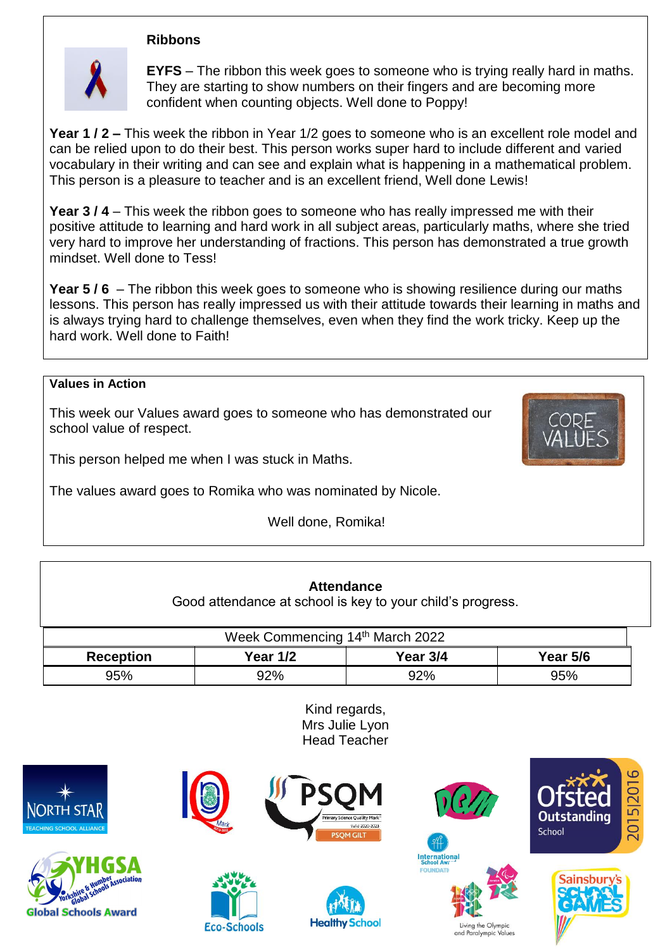#### **Ribbons**



**EYFS** – The ribbon this week goes to someone who is trying really hard in maths. They are starting to show numbers on their fingers and are becoming more confident when counting objects. Well done to Poppy!

**Year 1 / 2 –** This week the ribbon in Year 1/2 goes to someone who is an excellent role model and can be relied upon to do their best. This person works super hard to include different and varied vocabulary in their writing and can see and explain what is happening in a mathematical problem. This person is a pleasure to teacher and is an excellent friend, Well done Lewis!

**Year 3 / 4** – This week the ribbon goes to someone who has really impressed me with their positive attitude to learning and hard work in all subject areas, particularly maths, where she tried very hard to improve her understanding of fractions. This person has demonstrated a true growth mindset. Well done to Tess!

**Year 5 / 6** – The ribbon this week goes to someone who is showing resilience during our maths lessons. This person has really impressed us with their attitude towards their learning in maths and is always trying hard to challenge themselves, even when they find the work tricky. Keep up the hard work. Well done to Faith!

#### **Values in Action**

This week our Values award goes to someone who has demonstrated our school value of respect.



This person helped me when I was stuck in Maths.

The values award goes to Romika who was nominated by Nicole.

Well done, Romika!

Good attendance at school is key to your child's progress.

| Week Commencing 14th March 2022 |          |          |                 |  |  |  |  |
|---------------------------------|----------|----------|-----------------|--|--|--|--|
| <b>Reception</b>                | Year 1/2 | Year 3/4 | <b>Year 5/6</b> |  |  |  |  |
| 95%                             | 92%      | 92%      | 95%             |  |  |  |  |

Kind regards, Mrs Julie Lyon Head Teacher